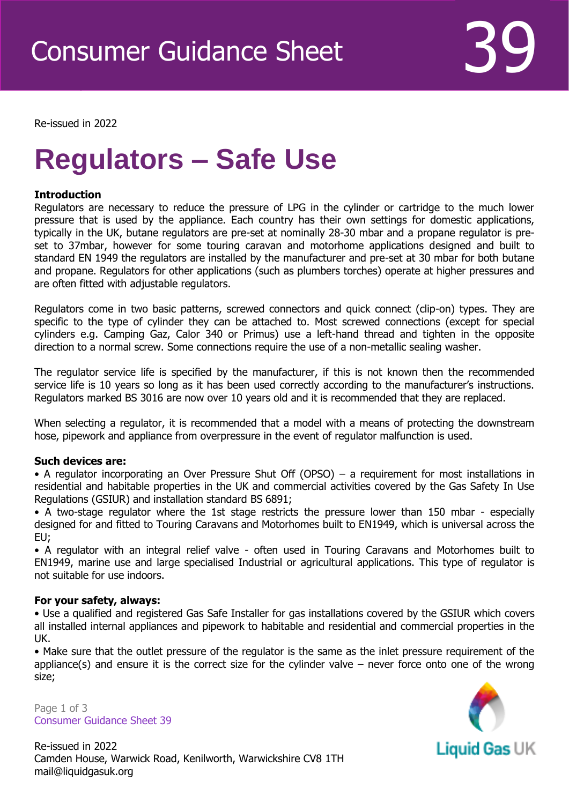Re-issued in 2022

Revised April 2016

# **Regulators – Safe Use**

## **Introduction**

Regulators are necessary to reduce the pressure of LPG in the cylinder or cartridge to the much lower pressure that is used by the appliance. Each country has their own settings for domestic applications, typically in the UK, butane regulators are pre-set at nominally 28-30 mbar and a propane regulator is preset to 37mbar, however for some touring caravan and motorhome applications designed and built to standard EN 1949 the regulators are installed by the manufacturer and pre-set at 30 mbar for both butane and propane. Regulators for other applications (such as plumbers torches) operate at higher pressures and are often fitted with adjustable regulators.

Regulators come in two basic patterns, screwed connectors and quick connect (clip-on) types. They are specific to the type of cylinder they can be attached to. Most screwed connections (except for special cylinders e.g. Camping Gaz, Calor 340 or Primus) use a left-hand thread and tighten in the opposite direction to a normal screw. Some connections require the use of a non-metallic sealing washer.

The regulator service life is specified by the manufacturer, if this is not known then the recommended service life is 10 years so long as it has been used correctly according to the manufacturer's instructions. Regulators marked BS 3016 are now over 10 years old and it is recommended that they are replaced.

When selecting a regulator, it is recommended that a model with a means of protecting the downstream hose, pipework and appliance from overpressure in the event of regulator malfunction is used.

## **Such devices are:**

• A regulator incorporating an Over Pressure Shut Off (OPSO) – a requirement for most installations in residential and habitable properties in the UK and commercial activities covered by the Gas Safety In Use Regulations (GSIUR) and installation standard BS 6891;

• A two-stage regulator where the 1st stage restricts the pressure lower than 150 mbar - especially designed for and fitted to Touring Caravans and Motorhomes built to EN1949, which is universal across the EU;

• A regulator with an integral relief valve - often used in Touring Caravans and Motorhomes built to EN1949, marine use and large specialised Industrial or agricultural applications. This type of regulator is not suitable for use indoors.

#### **For your safety, always:**

• Use a qualified and registered Gas Safe Installer for gas installations covered by the GSIUR which covers all installed internal appliances and pipework to habitable and residential and commercial properties in the UK.

• Make sure that the outlet pressure of the regulator is the same as the inlet pressure requirement of the appliance(s) and ensure it is the correct size for the cylinder valve – never force onto one of the wrong size;

Page 1 of 3 Consumer Guidance Sheet 39



Re-issued in 2022 Camden House, Warwick Road, Kenilworth, Warwickshire CV8 1TH mail@liquidgasuk.org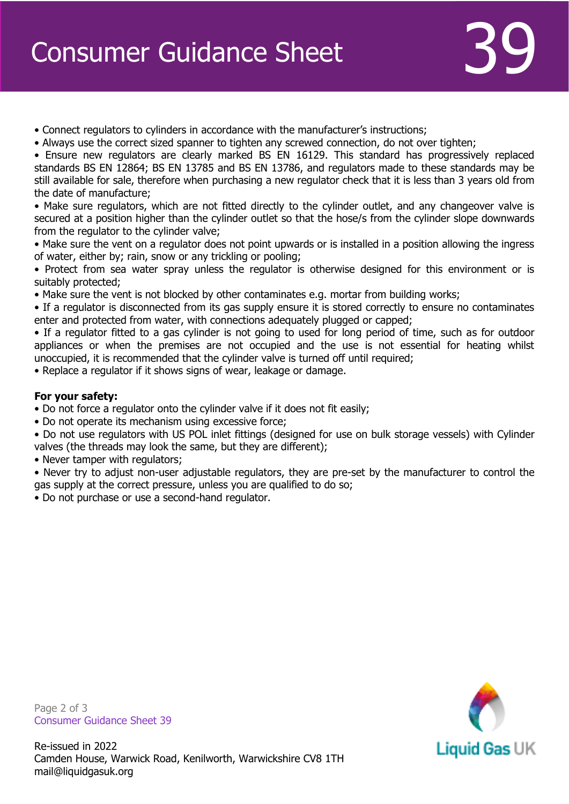- Connect regulators to cylinders in accordance with the manufacturer's instructions;
- Always use the correct sized spanner to tighten any screwed connection, do not over tighten;
- Ensure new regulators are clearly marked BS EN 16129. This standard has progressively replaced standards BS EN 12864; BS EN 13785 and BS EN 13786, and regulators made to these standards may be still available for sale, therefore when purchasing a new regulator check that it is less than 3 years old from the date of manufacture;

• Make sure regulators, which are not fitted directly to the cylinder outlet, and any changeover valve is secured at a position higher than the cylinder outlet so that the hose/s from the cylinder slope downwards from the regulator to the cylinder valve;

• Make sure the vent on a regulator does not point upwards or is installed in a position allowing the ingress of water, either by; rain, snow or any trickling or pooling;

• Protect from sea water spray unless the regulator is otherwise designed for this environment or is suitably protected;

• Make sure the vent is not blocked by other contaminates e.g. mortar from building works;

• If a regulator is disconnected from its gas supply ensure it is stored correctly to ensure no contaminates enter and protected from water, with connections adequately plugged or capped;

• If a regulator fitted to a gas cylinder is not going to used for long period of time, such as for outdoor appliances or when the premises are not occupied and the use is not essential for heating whilst unoccupied, it is recommended that the cylinder valve is turned off until required;

• Replace a regulator if it shows signs of wear, leakage or damage.

# **For your safety:**

- Do not force a regulator onto the cylinder valve if it does not fit easily;
- Do not operate its mechanism using excessive force;

• Do not use regulators with US POL inlet fittings (designed for use on bulk storage vessels) with Cylinder valves (the threads may look the same, but they are different);

• Never tamper with regulators;

• Never try to adjust non-user adjustable regulators, they are pre-set by the manufacturer to control the gas supply at the correct pressure, unless you are qualified to do so;

• Do not purchase or use a second-hand regulator.



Page 2 of 3 Consumer Guidance Sheet 39